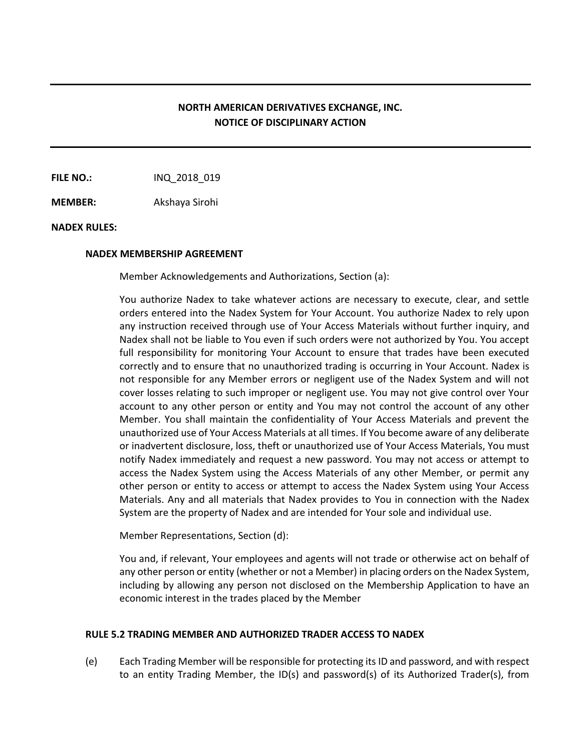# **NORTH AMERICAN DERIVATIVES EXCHANGE, INC. NOTICE OF DISCIPLINARY ACTION**

**FILE NO.:** INQ 2018 019

**MEMBER:** Akshaya Sirohi

### **NADEX RULES:**

#### **NADEX MEMBERSHIP AGREEMENT**

Member Acknowledgements and Authorizations, Section (a):

You authorize Nadex to take whatever actions are necessary to execute, clear, and settle orders entered into the Nadex System for Your Account. You authorize Nadex to rely upon any instruction received through use of Your Access Materials without further inquiry, and Nadex shall not be liable to You even if such orders were not authorized by You. You accept full responsibility for monitoring Your Account to ensure that trades have been executed correctly and to ensure that no unauthorized trading is occurring in Your Account. Nadex is not responsible for any Member errors or negligent use of the Nadex System and will not cover losses relating to such improper or negligent use. You may not give control over Your account to any other person or entity and You may not control the account of any other Member. You shall maintain the confidentiality of Your Access Materials and prevent the unauthorized use of Your Access Materials at all times. If You become aware of any deliberate or inadvertent disclosure, loss, theft or unauthorized use of Your Access Materials, You must notify Nadex immediately and request a new password. You may not access or attempt to access the Nadex System using the Access Materials of any other Member, or permit any other person or entity to access or attempt to access the Nadex System using Your Access Materials. Any and all materials that Nadex provides to You in connection with the Nadex System are the property of Nadex and are intended for Your sole and individual use.

Member Representations, Section (d):

You and, if relevant, Your employees and agents will not trade or otherwise act on behalf of any other person or entity (whether or not a Member) in placing orders on the Nadex System, including by allowing any person not disclosed on the Membership Application to have an economic interest in the trades placed by the Member

### **RULE 5.2 TRADING MEMBER AND AUTHORIZED TRADER ACCESS TO NADEX**

(e) Each Trading Member will be responsible for protecting its ID and password, and with respect to an entity Trading Member, the ID(s) and password(s) of its Authorized Trader(s), from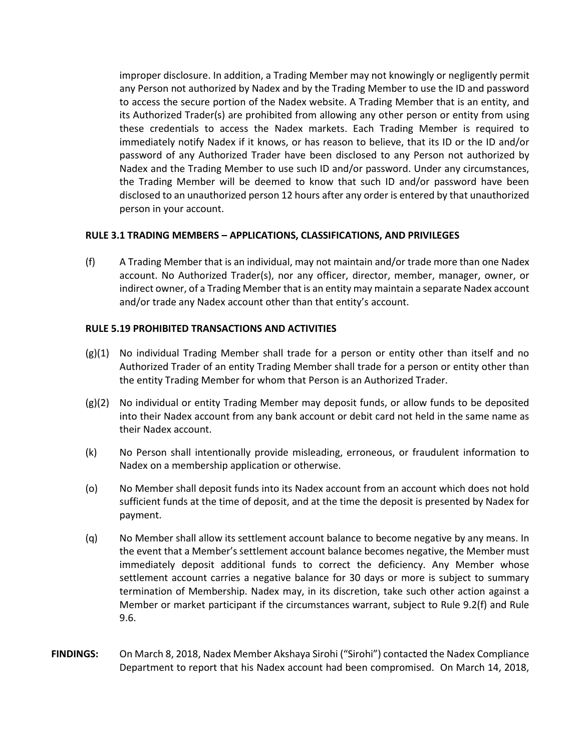improper disclosure. In addition, a Trading Member may not knowingly or negligently permit any Person not authorized by Nadex and by the Trading Member to use the ID and password to access the secure portion of the Nadex website. A Trading Member that is an entity, and its Authorized Trader(s) are prohibited from allowing any other person or entity from using these credentials to access the Nadex markets. Each Trading Member is required to immediately notify Nadex if it knows, or has reason to believe, that its ID or the ID and/or password of any Authorized Trader have been disclosed to any Person not authorized by Nadex and the Trading Member to use such ID and/or password. Under any circumstances, the Trading Member will be deemed to know that such ID and/or password have been disclosed to an unauthorized person 12 hours after any order is entered by that unauthorized person in your account.

## **RULE 3.1 TRADING MEMBERS – APPLICATIONS, CLASSIFICATIONS, AND PRIVILEGES**

(f) A Trading Member that is an individual, may not maintain and/or trade more than one Nadex account. No Authorized Trader(s), nor any officer, director, member, manager, owner, or indirect owner, of a Trading Member that is an entity may maintain a separate Nadex account and/or trade any Nadex account other than that entity's account.

### **RULE 5.19 PROHIBITED TRANSACTIONS AND ACTIVITIES**

- (g)(1) No individual Trading Member shall trade for a person or entity other than itself and no Authorized Trader of an entity Trading Member shall trade for a person or entity other than the entity Trading Member for whom that Person is an Authorized Trader.
- (g)(2) No individual or entity Trading Member may deposit funds, or allow funds to be deposited into their Nadex account from any bank account or debit card not held in the same name as their Nadex account.
- (k) No Person shall intentionally provide misleading, erroneous, or fraudulent information to Nadex on a membership application or otherwise.
- (o) No Member shall deposit funds into its Nadex account from an account which does not hold sufficient funds at the time of deposit, and at the time the deposit is presented by Nadex for payment.
- (q) No Member shall allow its settlement account balance to become negative by any means. In the event that a Member's settlement account balance becomes negative, the Member must immediately deposit additional funds to correct the deficiency. Any Member whose settlement account carries a negative balance for 30 days or more is subject to summary termination of Membership. Nadex may, in its discretion, take such other action against a Member or market participant if the circumstances warrant, subject to Rule 9.2(f) and Rule 9.6.
- **FINDINGS:** On March 8, 2018, Nadex Member Akshaya Sirohi ("Sirohi") contacted the Nadex Compliance Department to report that his Nadex account had been compromised. On March 14, 2018,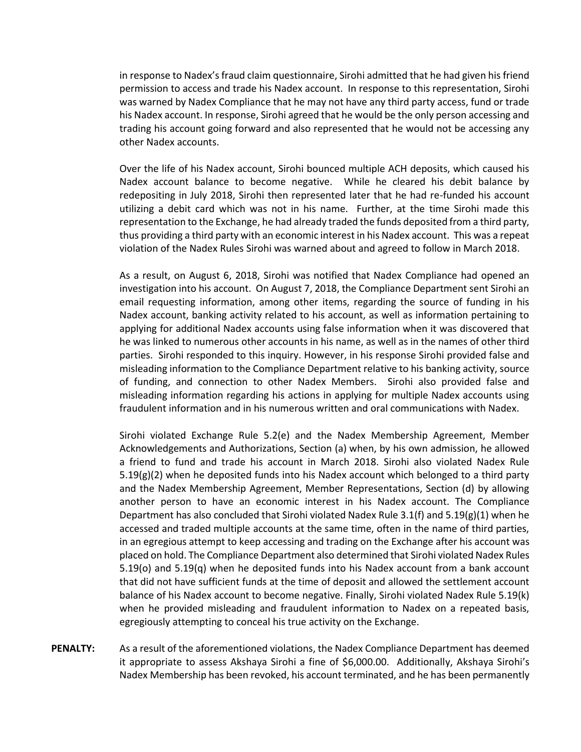in response to Nadex's fraud claim questionnaire, Sirohi admitted that he had given his friend permission to access and trade his Nadex account. In response to this representation, Sirohi was warned by Nadex Compliance that he may not have any third party access, fund or trade his Nadex account. In response, Sirohi agreed that he would be the only person accessing and trading his account going forward and also represented that he would not be accessing any other Nadex accounts.

Over the life of his Nadex account, Sirohi bounced multiple ACH deposits, which caused his Nadex account balance to become negative. While he cleared his debit balance by redepositing in July 2018, Sirohi then represented later that he had re-funded his account utilizing a debit card which was not in his name. Further, at the time Sirohi made this representation to the Exchange, he had already traded the funds deposited from a third party, thus providing a third party with an economic interest in his Nadex account. This was a repeat violation of the Nadex Rules Sirohi was warned about and agreed to follow in March 2018.

As a result, on August 6, 2018, Sirohi was notified that Nadex Compliance had opened an investigation into his account. On August 7, 2018, the Compliance Department sent Sirohi an email requesting information, among other items, regarding the source of funding in his Nadex account, banking activity related to his account, as well as information pertaining to applying for additional Nadex accounts using false information when it was discovered that he was linked to numerous other accounts in his name, as well as in the names of other third parties. Sirohi responded to this inquiry. However, in his response Sirohi provided false and misleading information to the Compliance Department relative to his banking activity, source of funding, and connection to other Nadex Members. Sirohi also provided false and misleading information regarding his actions in applying for multiple Nadex accounts using fraudulent information and in his numerous written and oral communications with Nadex.

Sirohi violated Exchange Rule 5.2(e) and the Nadex Membership Agreement, Member Acknowledgements and Authorizations, Section (a) when, by his own admission, he allowed a friend to fund and trade his account in March 2018. Sirohi also violated Nadex Rule  $5.19(g)(2)$  when he deposited funds into his Nadex account which belonged to a third party and the Nadex Membership Agreement, Member Representations, Section (d) by allowing another person to have an economic interest in his Nadex account. The Compliance Department has also concluded that Sirohi violated Nadex Rule 3.1(f) and 5.19(g)(1) when he accessed and traded multiple accounts at the same time, often in the name of third parties, in an egregious attempt to keep accessing and trading on the Exchange after his account was placed on hold. The Compliance Department also determined that Sirohi violated Nadex Rules 5.19(o) and 5.19(q) when he deposited funds into his Nadex account from a bank account that did not have sufficient funds at the time of deposit and allowed the settlement account balance of his Nadex account to become negative. Finally, Sirohi violated Nadex Rule 5.19(k) when he provided misleading and fraudulent information to Nadex on a repeated basis, egregiously attempting to conceal his true activity on the Exchange.

**PENALTY:** As a result of the aforementioned violations, the Nadex Compliance Department has deemed it appropriate to assess Akshaya Sirohi a fine of \$6,000.00. Additionally, Akshaya Sirohi's Nadex Membership has been revoked, his account terminated, and he has been permanently